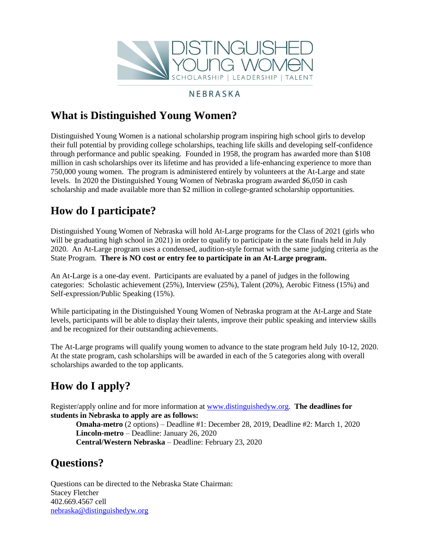

### NEBRASKA

## **What is Distinguished Young Women?**

Distinguished Young Women is a national scholarship program inspiring high school girls to develop their full potential by providing college scholarships, teaching life skills and developing self-confidence through performance and public speaking. Founded in 1958, the program has awarded more than \$108 million in cash scholarships over its lifetime and has provided a life-enhancing experience to more than 750,000 young women. The program is administered entirely by volunteers at the At-Large and state levels. In 2020 the Distinguished Young Women of Nebraska program awarded *\$*6,050 in cash scholarship and made available more than \$2 million in college-granted scholarship opportunities*.*

## **How do I participate?**

Distinguished Young Women of Nebraska will hold At-Large programs for the Class of 2021 (girls who will be graduating high school in 2021) in order to qualify to participate in the state finals held in July 2020. An At-Large program uses a condensed, audition-style format with the same judging criteria as the State Program. **There is NO cost or entry fee to participate in an At-Large program.**

An At-Large is a one-day event. Participants are evaluated by a panel of judges in the following categories: Scholastic achievement (25%), Interview (25%), Talent (20%), Aerobic Fitness (15%) and Self-expression/Public Speaking (15%).

While participating in the Distinguished Young Women of Nebraska program at the At-Large and State levels, participants will be able to display their talents, improve their public speaking and interview skills and be recognized for their outstanding achievements.

The At-Large programs will qualify young women to advance to the state program held July 10-12, 2020. At the state program, cash scholarships will be awarded in each of the 5 categories along with overall scholarships awarded to the top applicants.

# **How do I apply?**

Register/apply online and for more information at [www.distinguishedyw.org.](http://www.distinguishedyw.org/) **The deadlines for students in Nebraska to apply are as follows:**

**Omaha-metro** (2 options) – Deadline #1: December 28, 2019, Deadline #2: March 1, 2020 **Lincoln-metro** – Deadline: January 26, 2020 **Central/Western Nebraska** – Deadline: February 23, 2020

## **Questions?**

Questions can be directed to the Nebraska State Chairman: Stacey Fletcher 402.669.4567 cell [nebraska@distinguishedyw.org](mailto:nebraska@distinguishedyw.org)